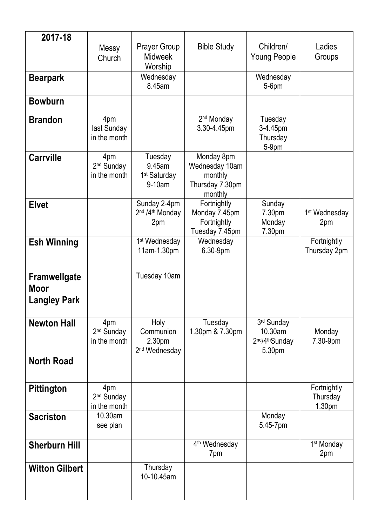| 2017-18                     |                                               |                                                                |                                                                       |                                                                            |                                   |
|-----------------------------|-----------------------------------------------|----------------------------------------------------------------|-----------------------------------------------------------------------|----------------------------------------------------------------------------|-----------------------------------|
|                             | Messy<br>Church                               | <b>Prayer Group</b><br><b>Midweek</b><br>Worship               | <b>Bible Study</b>                                                    | Children/<br><b>Young People</b>                                           | Ladies<br>Groups                  |
| <b>Bearpark</b>             |                                               | Wednesday<br>8.45am                                            |                                                                       | Wednesday<br>$5-6$ pm                                                      |                                   |
| <b>Bowburn</b>              |                                               |                                                                |                                                                       |                                                                            |                                   |
| <b>Brandon</b>              | 4pm<br>last Sunday<br>in the month            |                                                                | 2 <sup>nd</sup> Monday<br>3.30-4.45pm                                 | Tuesday<br>3-4.45pm<br>Thursday<br>$5-9pm$                                 |                                   |
| <b>Carrville</b>            | 4pm<br>2 <sup>nd</sup> Sunday<br>in the month | Tuesday<br>9.45am<br>1 <sup>st</sup> Saturday<br>9-10am        | Monday 8pm<br>Wednesday 10am<br>monthly<br>Thursday 7.30pm<br>monthly |                                                                            |                                   |
| <b>Elvet</b>                |                                               | Sunday 2-4pm<br>2 <sup>nd</sup> /4 <sup>th</sup> Monday<br>2pm | Fortnightly<br>Monday 7.45pm<br>Fortnightly<br>Tuesday 7.45pm         | Sunday<br>7.30pm<br>Monday<br>7.30pm                                       | 1 <sup>st</sup> Wednesday<br>2pm  |
| <b>Esh Winning</b>          |                                               | 1 <sup>st</sup> Wednesday<br>11am-1.30pm                       | Wednesday<br>6.30-9pm                                                 |                                                                            | Fortnightly<br>Thursday 2pm       |
| Framwellgate<br><b>Moor</b> |                                               | Tuesday 10am                                                   |                                                                       |                                                                            |                                   |
| <b>Langley Park</b>         |                                               |                                                                |                                                                       |                                                                            |                                   |
| <b>Newton Hall</b>          | 4pm<br>2 <sup>nd</sup> Sunday<br>in the month | Holy<br>Communion<br>2.30pm<br>2 <sup>nd</sup> Wednesday       | Tuesday<br>1.30pm & 7.30pm                                            | 3rd Sunday<br>10.30am<br>2 <sup>nd</sup> /4 <sup>th</sup> Sunday<br>5.30pm | Monday<br>7.30-9pm                |
| <b>North Road</b>           |                                               |                                                                |                                                                       |                                                                            |                                   |
| <b>Pittington</b>           | 4pm<br>2 <sup>nd</sup> Sunday<br>in the month |                                                                |                                                                       |                                                                            | Fortnightly<br>Thursday<br>1.30pm |
| <b>Sacriston</b>            | 10.30am<br>see plan                           |                                                                |                                                                       | Monday<br>5.45-7pm                                                         |                                   |
| <b>Sherburn Hill</b>        |                                               |                                                                | 4 <sup>th</sup> Wednesday<br>7pm                                      |                                                                            | 1 <sup>st</sup> Monday<br>2pm     |
| <b>Witton Gilbert</b>       |                                               | Thursday<br>10-10.45am                                         |                                                                       |                                                                            |                                   |